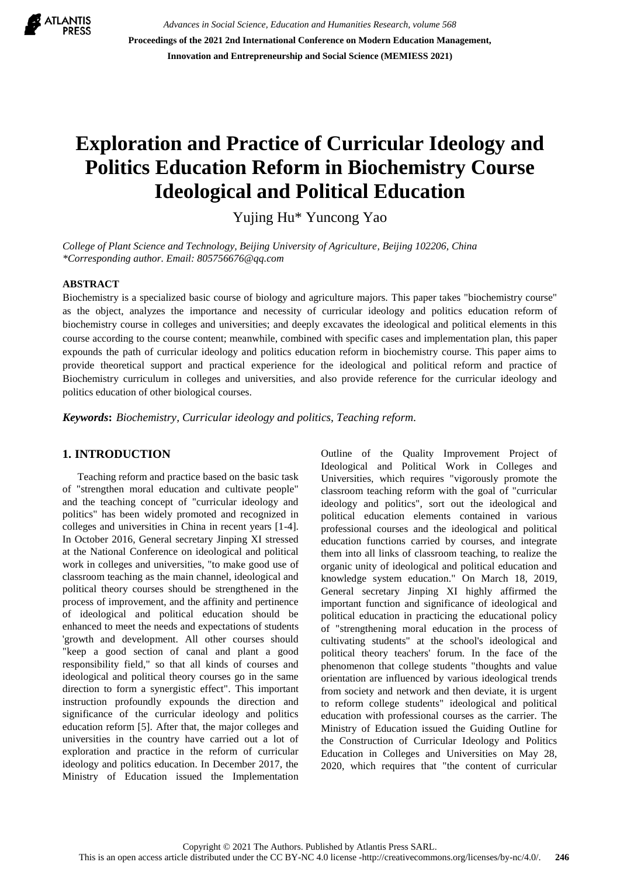

*Advances in Social Science, Education and Humanities Research, volume 568* **Proceedings of the 2021 2nd International Conference on Modern Education Management, Innovation and Entrepreneurship and Social Science (MEMIESS 2021)**

# **Exploration and Practice of Curricular Ideology and Politics Education Reform in Biochemistry Course Ideological and Political Education**

Yujing Hu\* Yuncong Yao

*College of Plant Science and Technology, Beijing University of Agriculture, Beijing 102206, China \*Corresponding author. Email: 805756676@qq.com*

#### **ABSTRACT**

Biochemistry is a specialized basic course of biology and agriculture majors. This paper takes "biochemistry course" as the object, analyzes the importance and necessity of curricular ideology and politics education reform of biochemistry course in colleges and universities; and deeply excavates the ideological and political elements in this course according to the course content; meanwhile, combined with specific cases and implementation plan, this paper expounds the path of curricular ideology and politics education reform in biochemistry course. This paper aims to provide theoretical support and practical experience for the ideological and political reform and practice of Biochemistry curriculum in colleges and universities, and also provide reference for the curricular ideology and politics education of other biological courses.

*Keywords***:** *Biochemistry, Curricular ideology and politics, Teaching reform.*

#### **1. INTRODUCTION**

Teaching reform and practice based on the basic task of "strengthen moral education and cultivate people" and the teaching concept of "curricular ideology and politics" has been widely promoted and recognized in colleges and universities in China in recent years [1-4]. In October 2016, General secretary Jinping XI stressed at the National Conference on ideological and political work in colleges and universities, "to make good use of classroom teaching as the main channel, ideological and political theory courses should be strengthened in the process of improvement, and the affinity and pertinence of ideological and political education should be enhanced to meet the needs and expectations of students 'growth and development. All other courses should "keep a good section of canal and plant a good responsibility field," so that all kinds of courses and ideological and political theory courses go in the same direction to form a synergistic effect". This important instruction profoundly expounds the direction and significance of the curricular ideology and politics education reform [5]. After that, the major colleges and universities in the country have carried out a lot of exploration and practice in the reform of curricular ideology and politics education. In December 2017, the Ministry of Education issued the Implementation Outline of the Quality Improvement Project of Ideological and Political Work in Colleges and Universities, which requires "vigorously promote the classroom teaching reform with the goal of "curricular ideology and politics", sort out the ideological and political education elements contained in various professional courses and the ideological and political education functions carried by courses, and integrate them into all links of classroom teaching, to realize the organic unity of ideological and political education and knowledge system education." On March 18, 2019, General secretary Jinping XI highly affirmed the important function and significance of ideological and political education in practicing the educational policy of "strengthening moral education in the process of cultivating students" at the school's ideological and political theory teachers' forum. In the face of the phenomenon that college students "thoughts and value orientation are influenced by various ideological trends from society and network and then deviate, it is urgent to reform college students" ideological and political education with professional courses as the carrier. The Ministry of Education issued the Guiding Outline for the Construction of Curricular Ideology and Politics Education in Colleges and Universities on May 28, 2020, which requires that "the content of curricular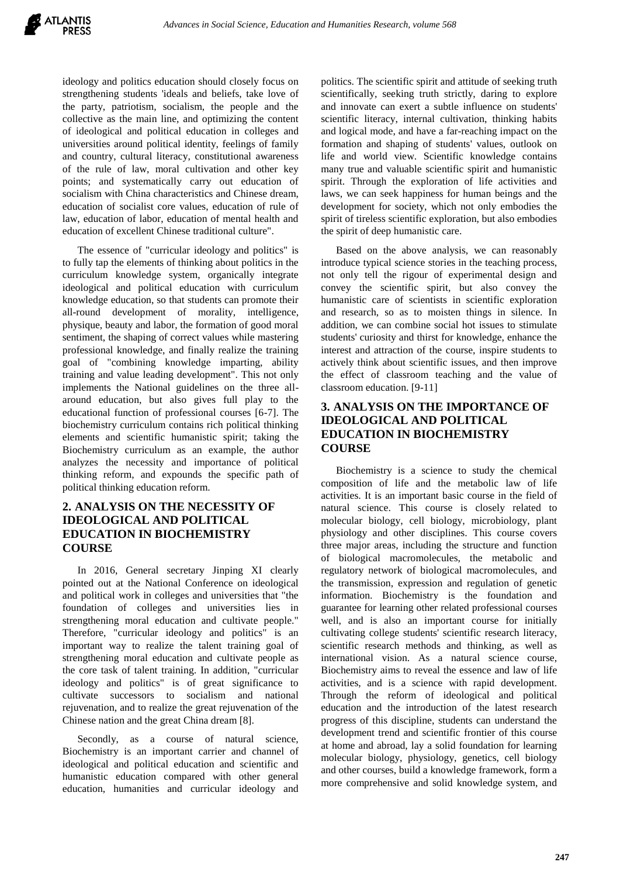ideology and politics education should closely focus on strengthening students 'ideals and beliefs, take love of the party, patriotism, socialism, the people and the collective as the main line, and optimizing the content of ideological and political education in colleges and universities around political identity, feelings of family and country, cultural literacy, constitutional awareness of the rule of law, moral cultivation and other key points; and systematically carry out education of socialism with China characteristics and Chinese dream, education of socialist core values, education of rule of law, education of labor, education of mental health and education of excellent Chinese traditional culture".

The essence of "curricular ideology and politics" is to fully tap the elements of thinking about politics in the curriculum knowledge system, organically integrate ideological and political education with curriculum knowledge education, so that students can promote their all-round development of morality, intelligence, physique, beauty and labor, the formation of good moral sentiment, the shaping of correct values while mastering professional knowledge, and finally realize the training goal of "combining knowledge imparting, ability training and value leading development". This not only implements the National guidelines on the three allaround education, but also gives full play to the educational function of professional courses [6-7]. The biochemistry curriculum contains rich political thinking elements and scientific humanistic spirit; taking the Biochemistry curriculum as an example, the author analyzes the necessity and importance of political thinking reform, and expounds the specific path of political thinking education reform.

# **2. ANALYSIS ON THE NECESSITY OF IDEOLOGICAL AND POLITICAL EDUCATION IN BIOCHEMISTRY COURSE**

In 2016, General secretary Jinping XI clearly pointed out at the National Conference on ideological and political work in colleges and universities that "the foundation of colleges and universities lies in strengthening moral education and cultivate people." Therefore, "curricular ideology and politics" is an important way to realize the talent training goal of strengthening moral education and cultivate people as the core task of talent training. In addition, "curricular ideology and politics" is of great significance to cultivate successors to socialism and national rejuvenation, and to realize the great rejuvenation of the Chinese nation and the great China dream [8].

Secondly, as a course of natural science, Biochemistry is an important carrier and channel of ideological and political education and scientific and humanistic education compared with other general education, humanities and curricular ideology and politics. The scientific spirit and attitude of seeking truth scientifically, seeking truth strictly, daring to explore and innovate can exert a subtle influence on students' scientific literacy, internal cultivation, thinking habits and logical mode, and have a far-reaching impact on the formation and shaping of students' values, outlook on life and world view. Scientific knowledge contains many true and valuable scientific spirit and humanistic spirit. Through the exploration of life activities and laws, we can seek happiness for human beings and the development for society, which not only embodies the spirit of tireless scientific exploration, but also embodies the spirit of deep humanistic care.

Based on the above analysis, we can reasonably introduce typical science stories in the teaching process, not only tell the rigour of experimental design and convey the scientific spirit, but also convey the humanistic care of scientists in scientific exploration and research, so as to moisten things in silence. In addition, we can combine social hot issues to stimulate students' curiosity and thirst for knowledge, enhance the interest and attraction of the course, inspire students to actively think about scientific issues, and then improve the effect of classroom teaching and the value of classroom education. [9-11]

#### **3. ANALYSIS ON THE IMPORTANCE OF IDEOLOGICAL AND POLITICAL EDUCATION IN BIOCHEMISTRY COURSE**

Biochemistry is a science to study the chemical composition of life and the metabolic law of life activities. It is an important basic course in the field of natural science. This course is closely related to molecular biology, cell biology, microbiology, plant physiology and other disciplines. This course covers three major areas, including the structure and function of biological macromolecules, the metabolic and regulatory network of biological macromolecules, and the transmission, expression and regulation of genetic information. Biochemistry is the foundation and guarantee for learning other related professional courses well, and is also an important course for initially cultivating college students' scientific research literacy, scientific research methods and thinking, as well as international vision. As a natural science course, Biochemistry aims to reveal the essence and law of life activities, and is a science with rapid development. Through the reform of ideological and political education and the introduction of the latest research progress of this discipline, students can understand the development trend and scientific frontier of this course at home and abroad, lay a solid foundation for learning molecular biology, physiology, genetics, cell biology and other courses, build a knowledge framework, form a more comprehensive and solid knowledge system, and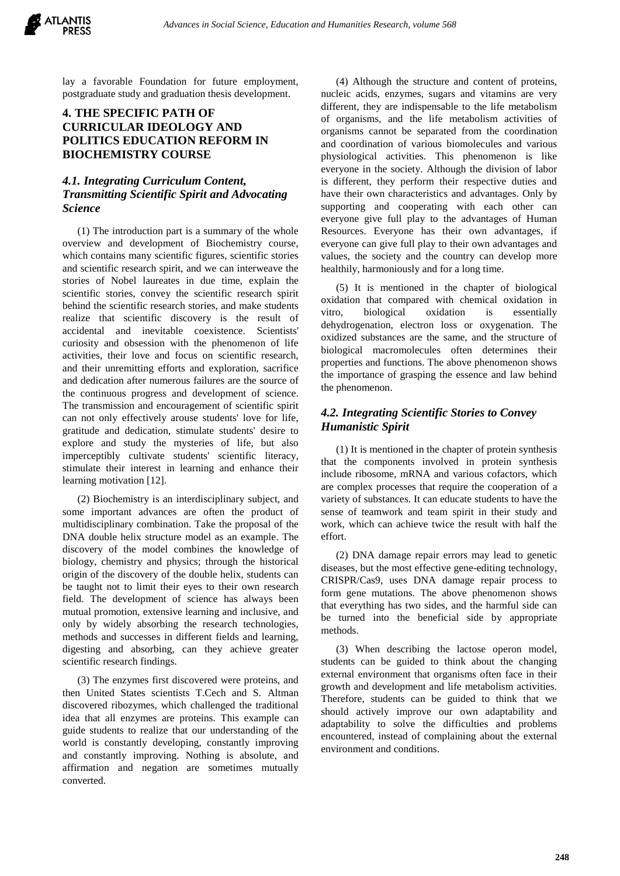lay a favorable Foundation for future employment, postgraduate study and graduation thesis development.

#### **4. THE SPECIFIC PATH OF CURRICULAR IDEOLOGY AND POLITICS EDUCATION REFORM IN BIOCHEMISTRY COURSE**

#### *4.1. Integrating Curriculum Content, Transmitting Scientific Spirit and Advocating Science*

(1) The introduction part is a summary of the whole overview and development of Biochemistry course, which contains many scientific figures, scientific stories and scientific research spirit, and we can interweave the stories of Nobel laureates in due time, explain the scientific stories, convey the scientific research spirit behind the scientific research stories, and make students realize that scientific discovery is the result of accidental and inevitable coexistence. Scientists' curiosity and obsession with the phenomenon of life activities, their love and focus on scientific research, and their unremitting efforts and exploration, sacrifice and dedication after numerous failures are the source of the continuous progress and development of science. The transmission and encouragement of scientific spirit can not only effectively arouse students' love for life, gratitude and dedication, stimulate students' desire to explore and study the mysteries of life, but also imperceptibly cultivate students' scientific literacy, stimulate their interest in learning and enhance their learning motivation [12].

(2) Biochemistry is an interdisciplinary subject, and some important advances are often the product of multidisciplinary combination. Take the proposal of the DNA double helix structure model as an example. The discovery of the model combines the knowledge of biology, chemistry and physics; through the historical origin of the discovery of the double helix, students can be taught not to limit their eyes to their own research field. The development of science has always been mutual promotion, extensive learning and inclusive, and only by widely absorbing the research technologies, methods and successes in different fields and learning, digesting and absorbing, can they achieve greater scientific research findings.

(3) The enzymes first discovered were proteins, and then United States scientists T.Cech and S. Altman discovered ribozymes, which challenged the traditional idea that all enzymes are proteins. This example can guide students to realize that our understanding of the world is constantly developing, constantly improving and constantly improving. Nothing is absolute, and affirmation and negation are sometimes mutually converted.

(4) Although the structure and content of proteins, nucleic acids, enzymes, sugars and vitamins are very different, they are indispensable to the life metabolism of organisms, and the life metabolism activities of organisms cannot be separated from the coordination and coordination of various biomolecules and various physiological activities. This phenomenon is like everyone in the society. Although the division of labor is different, they perform their respective duties and have their own characteristics and advantages. Only by supporting and cooperating with each other can everyone give full play to the advantages of Human Resources. Everyone has their own advantages, if everyone can give full play to their own advantages and values, the society and the country can develop more healthily, harmoniously and for a long time.

(5) It is mentioned in the chapter of biological oxidation that compared with chemical oxidation in vitro, biological oxidation is essentially dehydrogenation, electron loss or oxygenation. The oxidized substances are the same, and the structure of biological macromolecules often determines their properties and functions. The above phenomenon shows the importance of grasping the essence and law behind the phenomenon.

#### *4.2. Integrating Scientific Stories to Convey Humanistic Spirit*

(1) It is mentioned in the chapter of protein synthesis that the components involved in protein synthesis include ribosome, mRNA and various cofactors, which are complex processes that require the cooperation of a variety of substances. It can educate students to have the sense of teamwork and team spirit in their study and work, which can achieve twice the result with half the effort.

(2) DNA damage repair errors may lead to genetic diseases, but the most effective gene-editing technology, CRISPR/Cas9, uses DNA damage repair process to form gene mutations. The above phenomenon shows that everything has two sides, and the harmful side can be turned into the beneficial side by appropriate methods.

(3) When describing the lactose operon model, students can be guided to think about the changing external environment that organisms often face in their growth and development and life metabolism activities. Therefore, students can be guided to think that we should actively improve our own adaptability and adaptability to solve the difficulties and problems encountered, instead of complaining about the external environment and conditions.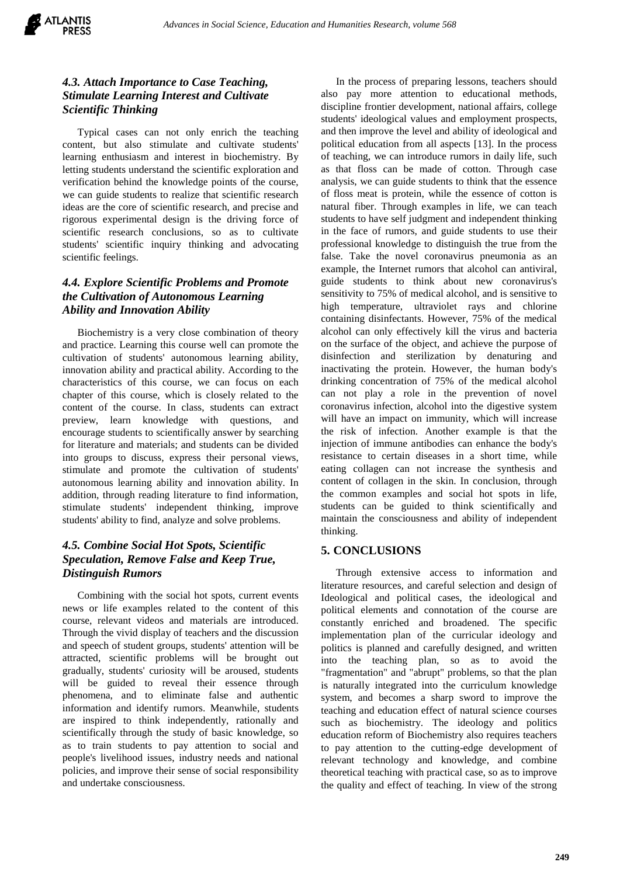# *4.3. Attach Importance to Case Teaching, Stimulate Learning Interest and Cultivate Scientific Thinking*

Typical cases can not only enrich the teaching content, but also stimulate and cultivate students' learning enthusiasm and interest in biochemistry. By letting students understand the scientific exploration and verification behind the knowledge points of the course, we can guide students to realize that scientific research ideas are the core of scientific research, and precise and rigorous experimental design is the driving force of scientific research conclusions, so as to cultivate students' scientific inquiry thinking and advocating scientific feelings.

# *4.4. Explore Scientific Problems and Promote the Cultivation of Autonomous Learning Ability and Innovation Ability*

Biochemistry is a very close combination of theory and practice. Learning this course well can promote the cultivation of students' autonomous learning ability, innovation ability and practical ability. According to the characteristics of this course, we can focus on each chapter of this course, which is closely related to the content of the course. In class, students can extract preview, learn knowledge with questions, and encourage students to scientifically answer by searching for literature and materials; and students can be divided into groups to discuss, express their personal views, stimulate and promote the cultivation of students' autonomous learning ability and innovation ability. In addition, through reading literature to find information, stimulate students' independent thinking, improve students' ability to find, analyze and solve problems.

# *4.5. Combine Social Hot Spots, Scientific Speculation, Remove False and Keep True, Distinguish Rumors*

Combining with the social hot spots, current events news or life examples related to the content of this course, relevant videos and materials are introduced. Through the vivid display of teachers and the discussion and speech of student groups, students' attention will be attracted, scientific problems will be brought out gradually, students' curiosity will be aroused, students will be guided to reveal their essence through phenomena, and to eliminate false and authentic information and identify rumors. Meanwhile, students are inspired to think independently, rationally and scientifically through the study of basic knowledge, so as to train students to pay attention to social and people's livelihood issues, industry needs and national policies, and improve their sense of social responsibility and undertake consciousness.

In the process of preparing lessons, teachers should also pay more attention to educational methods, discipline frontier development, national affairs, college students' ideological values and employment prospects, and then improve the level and ability of ideological and political education from all aspects [13]. In the process of teaching, we can introduce rumors in daily life, such as that floss can be made of cotton. Through case analysis, we can guide students to think that the essence of floss meat is protein, while the essence of cotton is natural fiber. Through examples in life, we can teach students to have self judgment and independent thinking in the face of rumors, and guide students to use their professional knowledge to distinguish the true from the false. Take the novel coronavirus pneumonia as an example, the Internet rumors that alcohol can antiviral, guide students to think about new coronavirus's sensitivity to 75% of medical alcohol, and is sensitive to high temperature, ultraviolet rays and chlorine containing disinfectants. However, 75% of the medical alcohol can only effectively kill the virus and bacteria on the surface of the object, and achieve the purpose of disinfection and sterilization by denaturing and inactivating the protein. However, the human body's drinking concentration of 75% of the medical alcohol can not play a role in the prevention of novel coronavirus infection, alcohol into the digestive system will have an impact on immunity, which will increase the risk of infection. Another example is that the injection of immune antibodies can enhance the body's resistance to certain diseases in a short time, while eating collagen can not increase the synthesis and content of collagen in the skin. In conclusion, through the common examples and social hot spots in life, students can be guided to think scientifically and maintain the consciousness and ability of independent thinking.

#### **5. CONCLUSIONS**

Through extensive access to information and literature resources, and careful selection and design of Ideological and political cases, the ideological and political elements and connotation of the course are constantly enriched and broadened. The specific implementation plan of the curricular ideology and politics is planned and carefully designed, and written into the teaching plan, so as to avoid the "fragmentation" and "abrupt" problems, so that the plan is naturally integrated into the curriculum knowledge system, and becomes a sharp sword to improve the teaching and education effect of natural science courses such as biochemistry. The ideology and politics education reform of Biochemistry also requires teachers to pay attention to the cutting-edge development of relevant technology and knowledge, and combine theoretical teaching with practical case, so as to improve the quality and effect of teaching. In view of the strong